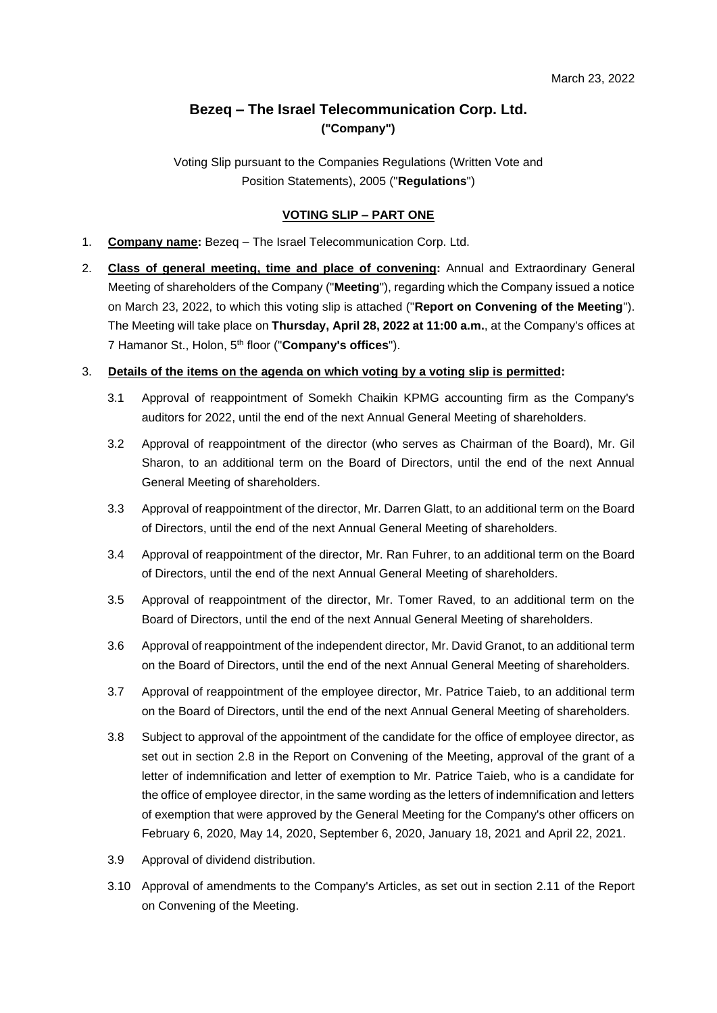# **Bezeq – The Israel Telecommunication Corp. Ltd. ("Company")**

Voting Slip pursuant to the Companies Regulations (Written Vote and Position Statements), 2005 ("**Regulations**")

## **VOTING SLIP – PART ONE**

- 1. **Company name:** Bezeq The Israel Telecommunication Corp. Ltd.
- 2. **Class of general meeting, time and place of convening:** Annual and Extraordinary General Meeting of shareholders of the Company ("**Meeting**"), regarding which the Company issued a notice on March 23, 2022, to which this voting slip is attached ("**Report on Convening of the Meeting**"). The Meeting will take place on **Thursday, April 28, 2022 at 11:00 a.m.**, at the Company's offices at 7 Hamanor St., Holon, 5th floor ("**Company's offices**").

## 3. **Details of the items on the agenda on which voting by a voting slip is permitted:**

- 3.1 Approval of reappointment of Somekh Chaikin KPMG accounting firm as the Company's auditors for 2022, until the end of the next Annual General Meeting of shareholders.
- 3.2 Approval of reappointment of the director (who serves as Chairman of the Board), Mr. Gil Sharon, to an additional term on the Board of Directors, until the end of the next Annual General Meeting of shareholders.
- 3.3 Approval of reappointment of the director, Mr. Darren Glatt, to an additional term on the Board of Directors, until the end of the next Annual General Meeting of shareholders.
- 3.4 Approval of reappointment of the director, Mr. Ran Fuhrer, to an additional term on the Board of Directors, until the end of the next Annual General Meeting of shareholders.
- 3.5 Approval of reappointment of the director, Mr. Tomer Raved, to an additional term on the Board of Directors, until the end of the next Annual General Meeting of shareholders.
- 3.6 Approval of reappointment of the independent director, Mr. David Granot, to an additional term on the Board of Directors, until the end of the next Annual General Meeting of shareholders.
- 3.7 Approval of reappointment of the employee director, Mr. Patrice Taieb, to an additional term on the Board of Directors, until the end of the next Annual General Meeting of shareholders.
- 3.8 Subject to approval of the appointment of the candidate for the office of employee director, as set out in section 2.8 in the Report on Convening of the Meeting, approval of the grant of a letter of indemnification and letter of exemption to Mr. Patrice Taieb, who is a candidate for the office of employee director, in the same wording as the letters of indemnification and letters of exemption that were approved by the General Meeting for the Company's other officers on February 6, 2020, May 14, 2020, September 6, 2020, January 18, 2021 and April 22, 2021.
- 3.9 Approval of dividend distribution.
- 3.10 Approval of amendments to the Company's Articles, as set out in section 2.11 of the Report on Convening of the Meeting.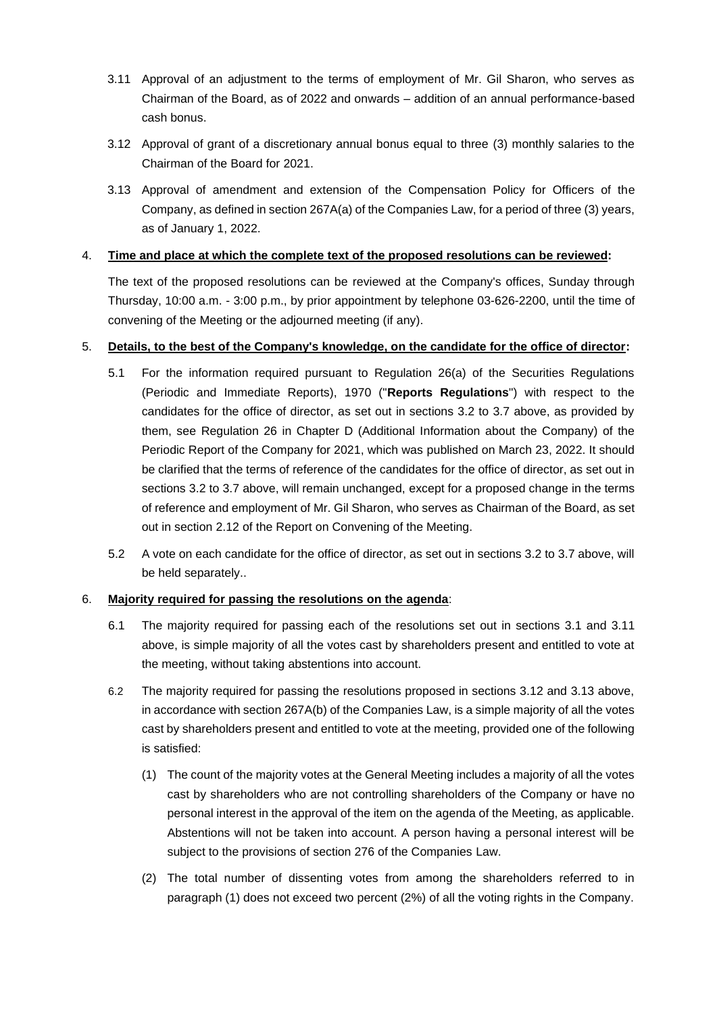- 3.11 Approval of an adjustment to the terms of employment of Mr. Gil Sharon, who serves as Chairman of the Board, as of 2022 and onwards – addition of an annual performance-based cash bonus.
- 3.12 Approval of grant of a discretionary annual bonus equal to three (3) monthly salaries to the Chairman of the Board for 2021.
- 3.13 Approval of amendment and extension of the Compensation Policy for Officers of the Company, as defined in section 267A(a) of the Companies Law, for a period of three (3) years, as of January 1, 2022.

#### 4. **Time and place at which the complete text of the proposed resolutions can be reviewed:**

The text of the proposed resolutions can be reviewed at the Company's offices, Sunday through Thursday, 10:00 a.m. - 3:00 p.m., by prior appointment by telephone 03-626-2200, until the time of convening of the Meeting or the adjourned meeting (if any).

## 5. **Details, to the best of the Company's knowledge, on the candidate for the office of director:**

- 5.1 For the information required pursuant to Regulation 26(a) of the Securities Regulations (Periodic and Immediate Reports), 1970 ("**Reports Regulations**") with respect to the candidates for the office of director, as set out in sections 3.2 to 3.7 above, as provided by them, see Regulation 26 in Chapter D (Additional Information about the Company) of the Periodic Report of the Company for 2021, which was published on March 23, 2022. It should be clarified that the terms of reference of the candidates for the office of director, as set out in sections 3.2 to 3.7 above, will remain unchanged, except for a proposed change in the terms of reference and employment of Mr. Gil Sharon, who serves as Chairman of the Board, as set out in section 2.12 of the Report on Convening of the Meeting.
- 5.2 A vote on each candidate for the office of director, as set out in sections 3.2 to 3.7 above, will be held separately..

#### 6. **Majority required for passing the resolutions on the agenda**:

- 6.1 The majority required for passing each of the resolutions set out in sections 3.1 and 3.11 above, is simple majority of all the votes cast by shareholders present and entitled to vote at the meeting, without taking abstentions into account.
- 6.2 The majority required for passing the resolutions proposed in sections 3.12 and 3.13 above, in accordance with section 267A(b) of the Companies Law, is a simple majority of all the votes cast by shareholders present and entitled to vote at the meeting, provided one of the following is satisfied:
	- (1) The count of the majority votes at the General Meeting includes a majority of all the votes cast by shareholders who are not controlling shareholders of the Company or have no personal interest in the approval of the item on the agenda of the Meeting, as applicable. Abstentions will not be taken into account. A person having a personal interest will be subject to the provisions of section 276 of the Companies Law.
	- (2) The total number of dissenting votes from among the shareholders referred to in paragraph (1) does not exceed two percent (2%) of all the voting rights in the Company.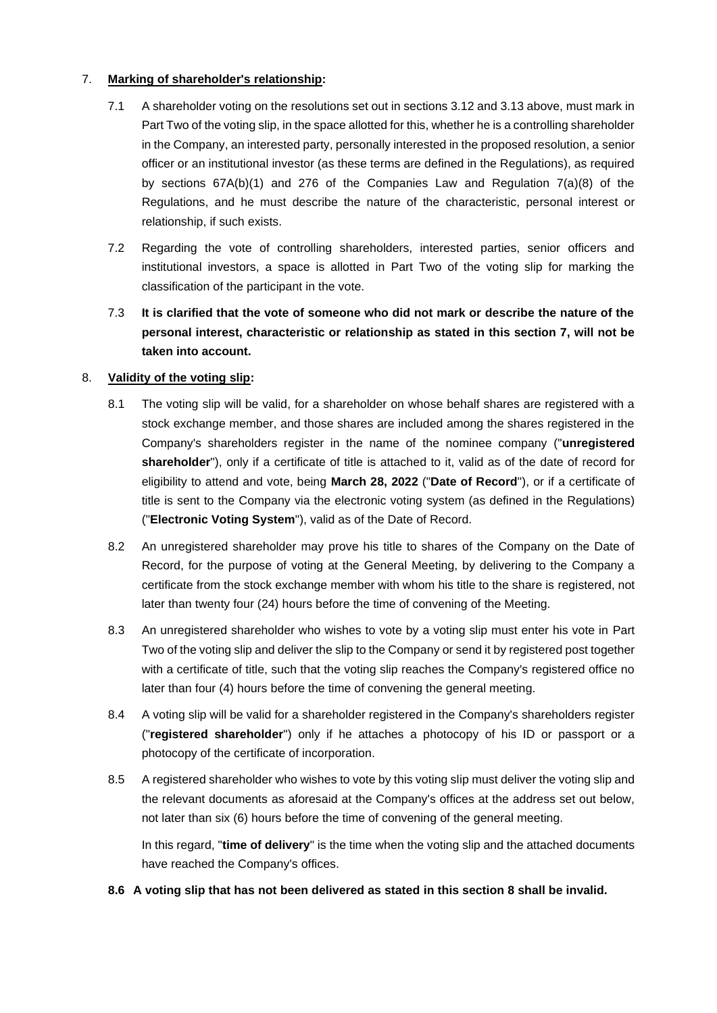## 7. **Marking of shareholder's relationship:**

- 7.1 A shareholder voting on the resolutions set out in sections 3.12 and 3.13 above, must mark in Part Two of the voting slip, in the space allotted for this, whether he is a controlling shareholder in the Company, an interested party, personally interested in the proposed resolution, a senior officer or an institutional investor (as these terms are defined in the Regulations), as required by sections  $67A(b)(1)$  and  $276$  of the Companies Law and Regulation  $7(a)(8)$  of the Regulations, and he must describe the nature of the characteristic, personal interest or relationship, if such exists.
- 7.2 Regarding the vote of controlling shareholders, interested parties, senior officers and institutional investors, a space is allotted in Part Two of the voting slip for marking the classification of the participant in the vote.
- 7.3 **It is clarified that the vote of someone who did not mark or describe the nature of the personal interest, characteristic or relationship as stated in this section 7, will not be taken into account.**

## 8. **Validity of the voting slip:**

- 8.1 The voting slip will be valid, for a shareholder on whose behalf shares are registered with a stock exchange member, and those shares are included among the shares registered in the Company's shareholders register in the name of the nominee company ("**unregistered shareholder**"), only if a certificate of title is attached to it, valid as of the date of record for eligibility to attend and vote, being **March 28, 2022** ("**Date of Record**"), or if a certificate of title is sent to the Company via the electronic voting system (as defined in the Regulations) ("**Electronic Voting System**"), valid as of the Date of Record.
- 8.2 An unregistered shareholder may prove his title to shares of the Company on the Date of Record, for the purpose of voting at the General Meeting, by delivering to the Company a certificate from the stock exchange member with whom his title to the share is registered, not later than twenty four (24) hours before the time of convening of the Meeting.
- 8.3 An unregistered shareholder who wishes to vote by a voting slip must enter his vote in Part Two of the voting slip and deliver the slip to the Company or send it by registered post together with a certificate of title, such that the voting slip reaches the Company's registered office no later than four (4) hours before the time of convening the general meeting.
- 8.4 A voting slip will be valid for a shareholder registered in the Company's shareholders register ("**registered shareholder**") only if he attaches a photocopy of his ID or passport or a photocopy of the certificate of incorporation.
- 8.5 A registered shareholder who wishes to vote by this voting slip must deliver the voting slip and the relevant documents as aforesaid at the Company's offices at the address set out below, not later than six (6) hours before the time of convening of the general meeting.

In this regard, "**time of delivery**" is the time when the voting slip and the attached documents have reached the Company's offices.

**8.6 A voting slip that has not been delivered as stated in this section 8 shall be invalid.**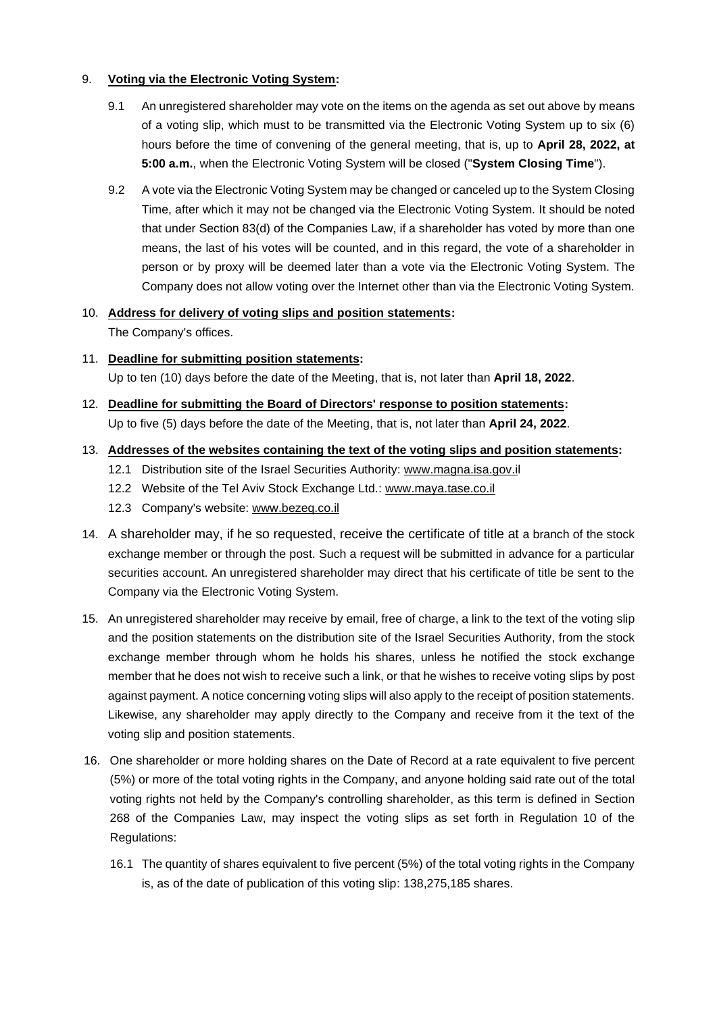### 9. **Voting via the Electronic Voting System:**

- 9.1 An unregistered shareholder may vote on the items on the agenda as set out above by means of a voting slip, which must to be transmitted via the Electronic Voting System up to six (6) hours before the time of convening of the general meeting, that is, up to **April 28, 2022, at 5:00 a.m.**, when the Electronic Voting System will be closed ("**System Closing Time**").
- 9.2 A vote via the Electronic Voting System may be changed or canceled up to the System Closing Time, after which it may not be changed via the Electronic Voting System. It should be noted that under Section 83(d) of the Companies Law, if a shareholder has voted by more than one means, the last of his votes will be counted, and in this regard, the vote of a shareholder in person or by proxy will be deemed later than a vote via the Electronic Voting System. The Company does not allow voting over the Internet other than via the Electronic Voting System.

# 10. **Address for delivery of voting slips and position statements:**  The Company's offices.

- 11. **Deadline for submitting position statements:** Up to ten (10) days before the date of the Meeting, that is, not later than **April 18, 2022**.
- 12. **Deadline for submitting the Board of Directors' response to position statements:**  Up to five (5) days before the date of the Meeting, that is, not later than **April 24, 2022**.
- 13. **Addresses of the websites containing the text of the voting slips and position statements:**
	- 12.1 Distribution site of the Israel Securities Authority: [www.magna.isa.gov.il](http://www.magna.isa.gov.i/)
	- 12.2 Website of the Tel Aviv Stock Exchange Ltd.: [www.maya.tase.co.il](http://www.maya.tase.co.il/)
	- 12.3 Company's website: [www.bezeq.co.il](http://www.bezeq.co.il/)
- 14. A shareholder may, if he so requested, receive the certificate of title at a branch of the stock exchange member or through the post. Such a request will be submitted in advance for a particular securities account. An unregistered shareholder may direct that his certificate of title be sent to the Company via the Electronic Voting System.
- 15. An unregistered shareholder may receive by email, free of charge, a link to the text of the voting slip and the position statements on the distribution site of the Israel Securities Authority, from the stock exchange member through whom he holds his shares, unless he notified the stock exchange member that he does not wish to receive such a link, or that he wishes to receive voting slips by post against payment. A notice concerning voting slips will also apply to the receipt of position statements. Likewise, any shareholder may apply directly to the Company and receive from it the text of the voting slip and position statements.
- 16. One shareholder or more holding shares on the Date of Record at a rate equivalent to five percent (5%) or more of the total voting rights in the Company, and anyone holding said rate out of the total voting rights not held by the Company's controlling shareholder, as this term is defined in Section 268 of the Companies Law, may inspect the voting slips as set forth in Regulation 10 of the Regulations:
	- 16.1 The quantity of shares equivalent to five percent (5%) of the total voting rights in the Company is, as of the date of publication of this voting slip: 138,275,185 shares.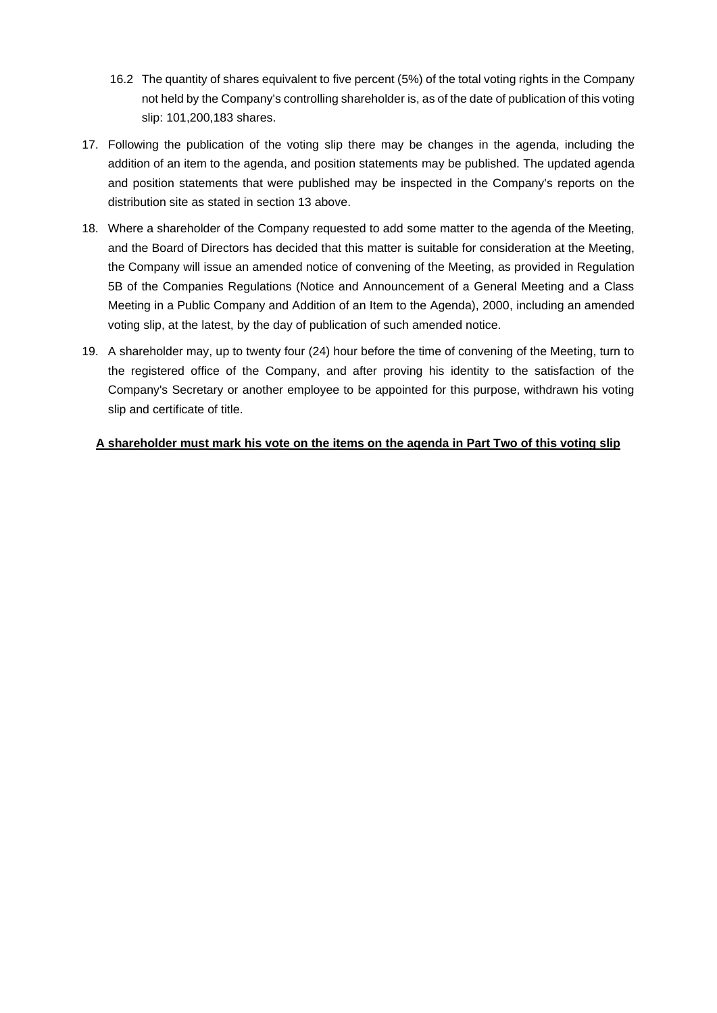- 16.2 The quantity of shares equivalent to five percent (5%) of the total voting rights in the Company not held by the Company's controlling shareholder is, as of the date of publication of this voting slip: 101,200,183 shares.
- 17. Following the publication of the voting slip there may be changes in the agenda, including the addition of an item to the agenda, and position statements may be published. The updated agenda and position statements that were published may be inspected in the Company's reports on the distribution site as stated in section 13 above.
- 18. Where a shareholder of the Company requested to add some matter to the agenda of the Meeting, and the Board of Directors has decided that this matter is suitable for consideration at the Meeting, the Company will issue an amended notice of convening of the Meeting, as provided in Regulation 5B of the Companies Regulations (Notice and Announcement of a General Meeting and a Class Meeting in a Public Company and Addition of an Item to the Agenda), 2000, including an amended voting slip, at the latest, by the day of publication of such amended notice.
- 19. A shareholder may, up to twenty four (24) hour before the time of convening of the Meeting, turn to the registered office of the Company, and after proving his identity to the satisfaction of the Company's Secretary or another employee to be appointed for this purpose, withdrawn his voting slip and certificate of title.

## **A shareholder must mark his vote on the items on the agenda in Part Two of this voting slip**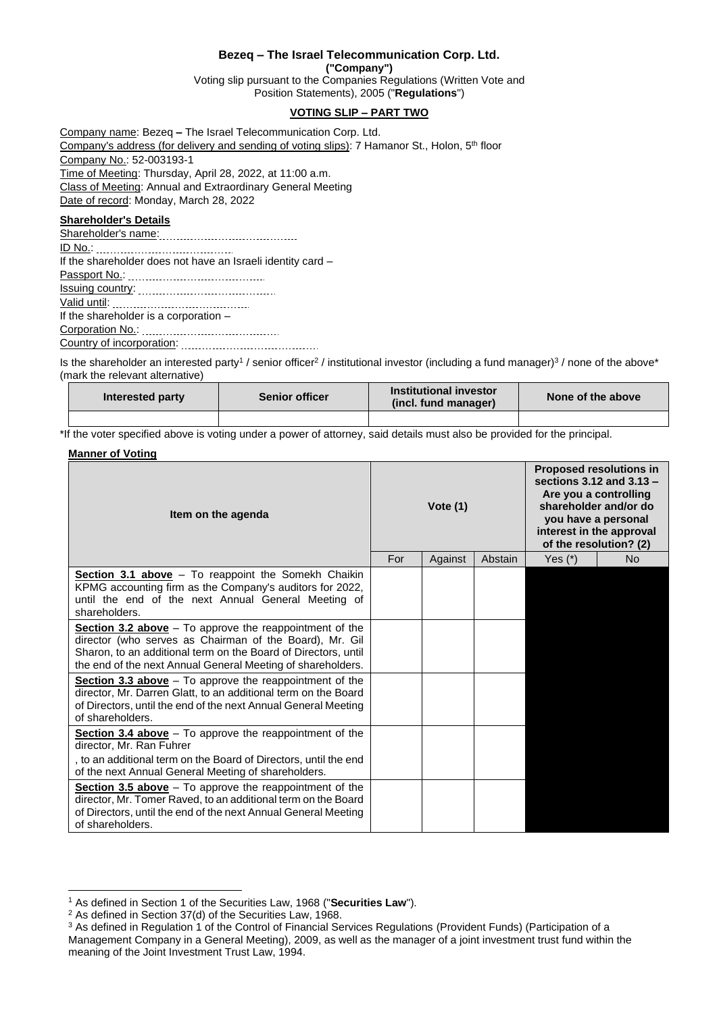#### **Bezeq – The Israel Telecommunication Corp. Ltd.**

**("Company")**

Voting slip pursuant to the Companies Regulations (Written Vote and Position Statements), 2005 ("**Regulations**")

## **VOTING SLIP – PART TWO**

Company name: Bezeq **–** The Israel Telecommunication Corp. Ltd. Company's address (for delivery and sending of voting slips): 7 Hamanor St., Holon, 5<sup>th</sup> floor Company No.: 52-003193-1 Time of Meeting: Thursday, April 28, 2022, at 11:00 a.m. Class of Meeting: Annual and Extraordinary General Meeting Date of record: Monday, March 28, 2022

#### **Shareholder's Details**

Shareholder's name: ID No.: If the shareholder does not have an Israeli identity card – Passport No.: Issuing country: Valid until: If the shareholder is a corporation – Corporation No.: Country of incorporation:

Is the shareholder an interested party<sup>1</sup> / senior officer<sup>2</sup> / institutional investor (including a fund manager)<sup>3</sup> / none of the above\* (mark the relevant alternative)

| Interested party | <b>Senior officer</b> | Institutional investor<br>(incl. fund manager) | None of the above |
|------------------|-----------------------|------------------------------------------------|-------------------|
|                  |                       |                                                |                   |

\*If the voter specified above is voting under a power of attorney, said details must also be provided for the principal.

#### **Manner of Voting**

| Item on the agenda                                                                                                                                                                                                                                    |  | Vote $(1)$ |         |           | <b>Proposed resolutions in</b><br>sections $3.12$ and $3.13 -$<br>Are you a controlling<br>shareholder and/or do<br>you have a personal<br>interest in the approval<br>of the resolution? (2) |  |
|-------------------------------------------------------------------------------------------------------------------------------------------------------------------------------------------------------------------------------------------------------|--|------------|---------|-----------|-----------------------------------------------------------------------------------------------------------------------------------------------------------------------------------------------|--|
|                                                                                                                                                                                                                                                       |  | Against    | Abstain | Yes $(*)$ | <b>No</b>                                                                                                                                                                                     |  |
| Section 3.1 above - To reappoint the Somekh Chaikin<br>KPMG accounting firm as the Company's auditors for 2022,<br>until the end of the next Annual General Meeting of<br>shareholders.                                                               |  |            |         |           |                                                                                                                                                                                               |  |
| Section 3.2 above $-$ To approve the reappointment of the<br>director (who serves as Chairman of the Board), Mr. Gil<br>Sharon, to an additional term on the Board of Directors, until<br>the end of the next Annual General Meeting of shareholders. |  |            |         |           |                                                                                                                                                                                               |  |
| Section 3.3 above $-$ To approve the reappointment of the<br>director, Mr. Darren Glatt, to an additional term on the Board<br>of Directors, until the end of the next Annual General Meeting<br>of shareholders.                                     |  |            |         |           |                                                                                                                                                                                               |  |
| Section 3.4 above $-$ To approve the reappointment of the<br>director, Mr. Ran Fuhrer<br>, to an additional term on the Board of Directors, until the end<br>of the next Annual General Meeting of shareholders.                                      |  |            |         |           |                                                                                                                                                                                               |  |
| Section 3.5 above $-$ To approve the reappointment of the<br>director, Mr. Tomer Raved, to an additional term on the Board<br>of Directors, until the end of the next Annual General Meeting<br>of shareholders.                                      |  |            |         |           |                                                                                                                                                                                               |  |

<sup>1</sup> As defined in Section 1 of the Securities Law, 1968 ("**Securities Law**").

<sup>2</sup> As defined in Section 37(d) of the Securities Law, 1968.

<sup>&</sup>lt;sup>3</sup> As defined in Regulation 1 of the Control of Financial Services Regulations (Provident Funds) (Participation of a Management Company in a General Meeting), 2009, as well as the manager of a joint investment trust fund within the meaning of the Joint Investment Trust Law, 1994.